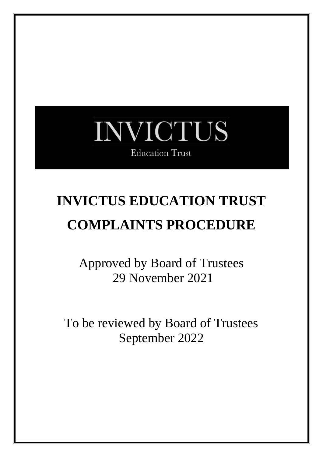# INVICTUS **Education Trust**

# **INVICTUS EDUCATION TRUST COMPLAINTS PROCEDURE**

Approved by Board of Trustees 29 November 2021

To be reviewed by Board of Trustees September 2022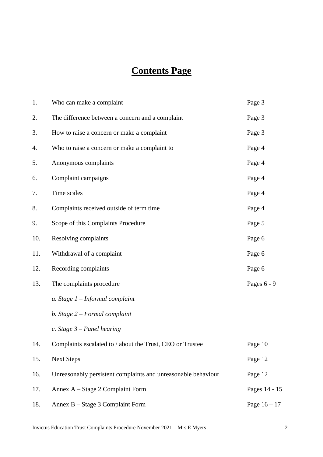# **Contents Page**

| 1.  | Who can make a complaint                                      | Page 3         |
|-----|---------------------------------------------------------------|----------------|
| 2.  | The difference between a concern and a complaint              | Page 3         |
| 3.  | How to raise a concern or make a complaint                    | Page 3         |
| 4.  | Who to raise a concern or make a complaint to                 | Page 4         |
| 5.  | Anonymous complaints                                          | Page 4         |
| 6.  | Complaint campaigns                                           | Page 4         |
| 7.  | Time scales                                                   | Page 4         |
| 8.  | Complaints received outside of term time                      | Page 4         |
| 9.  | Scope of this Complaints Procedure                            | Page 5         |
| 10. | Resolving complaints                                          | Page 6         |
| 11. | Withdrawal of a complaint                                     | Page 6         |
| 12. | Recording complaints                                          | Page 6         |
| 13. | The complaints procedure                                      | Pages 6 - 9    |
|     | a. Stage $1$ – Informal complaint                             |                |
|     | b. Stage $2$ – Formal complaint                               |                |
|     | c. Stage $3$ – Panel hearing                                  |                |
| 14. | Complaints escalated to / about the Trust, CEO or Trustee     | Page 10        |
| 15. | <b>Next Steps</b>                                             | Page 12        |
| 16. | Unreasonably persistent complaints and unreasonable behaviour | Page 12        |
| 17. | Annex A – Stage 2 Complaint Form                              | Pages 14 - 15  |
| 18. | Annex B – Stage 3 Complaint Form                              | Page $16 - 17$ |

Invictus Education Trust Complaints Procedure November 2021 – Mrs E Myers 2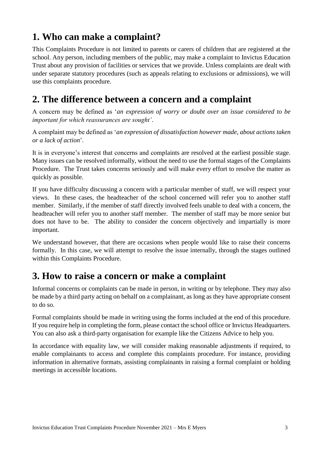## **1. Who can make a complaint?**

This Complaints Procedure is not limited to parents or carers of children that are registered at the school. Any person, including members of the public, may make a complaint to Invictus Education Trust about any provision of facilities or services that we provide. Unless complaints are dealt with under separate statutory procedures (such as appeals relating to exclusions or admissions), we will use this complaints procedure.

#### **2. The difference between a concern and a complaint**

A concern may be defined as '*an expression of worry or doubt over an issue considered to be important for which reassurances are sought'*.

A complaint may be defined as '*an expression of dissatisfaction however made, about actions taken or a lack of action*'.

It is in everyone's interest that concerns and complaints are resolved at the earliest possible stage. Many issues can be resolved informally, without the need to use the formal stages of the Complaints Procedure. The Trust takes concerns seriously and will make every effort to resolve the matter as quickly as possible.

If you have difficulty discussing a concern with a particular member of staff, we will respect your views. In these cases, the headteacher of the school concerned will refer you to another staff member. Similarly, if the member of staff directly involved feels unable to deal with a concern, the headteacher will refer you to another staff member. The member of staff may be more senior but does not have to be. The ability to consider the concern objectively and impartially is more important.

We understand however, that there are occasions when people would like to raise their concerns formally. In this case, we will attempt to resolve the issue internally, through the stages outlined within this Complaints Procedure.

#### **3. How to raise a concern or make a complaint**

Informal concerns or complaints can be made in person, in writing or by telephone. They may also be made by a third party acting on behalf on a complainant, as long as they have appropriate consent to do so.

Formal complaints should be made in writing using the forms included at the end of this procedure. If you require help in completing the form, please contact the school office or Invictus Headquarters. You can also ask a third-party organisation for example like the Citizens Advice to help you.

In accordance with equality law, we will consider making reasonable adjustments if required, to enable complainants to access and complete this complaints procedure. For instance, providing information in alternative formats, assisting complainants in raising a formal complaint or holding meetings in accessible locations.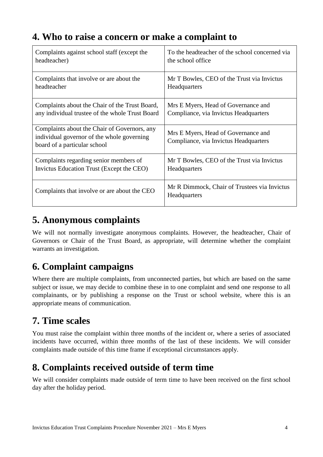## **4. Who to raise a concern or make a complaint to**

| Complaints against school staff (except the                                                                                | To the headteacher of the school concerned via                               |
|----------------------------------------------------------------------------------------------------------------------------|------------------------------------------------------------------------------|
| headteacher)                                                                                                               | the school office                                                            |
| Complaints that involve or are about the                                                                                   | Mr T Bowles, CEO of the Trust via Invictus                                   |
| headteacher                                                                                                                | Headquarters                                                                 |
| Complaints about the Chair of the Trust Board,                                                                             | Mrs E Myers, Head of Governance and                                          |
| any individual trustee of the whole Trust Board                                                                            | Compliance, via Invictus Headquarters                                        |
| Complaints about the Chair of Governors, any<br>individual governor of the whole governing<br>board of a particular school | Mrs E Myers, Head of Governance and<br>Compliance, via Invictus Headquarters |
| Complaints regarding senior members of                                                                                     | Mr T Bowles, CEO of the Trust via Invictus                                   |
| Invictus Education Trust (Except the CEO)                                                                                  | Headquarters                                                                 |
| Complaints that involve or are about the CEO                                                                               | Mr R Dimmock, Chair of Trustees via Invictus<br>Headquarters                 |

#### **5. Anonymous complaints**

We will not normally investigate anonymous complaints. However, the headteacher, Chair of Governors or Chair of the Trust Board, as appropriate, will determine whether the complaint warrants an investigation.

# **6. Complaint campaigns**

Where there are multiple complaints, from unconnected parties, but which are based on the same subject or issue, we may decide to combine these in to one complaint and send one response to all complainants, or by publishing a response on the Trust or school website, where this is an appropriate means of communication.

# **7. Time scales**

You must raise the complaint within three months of the incident or, where a series of associated incidents have occurred, within three months of the last of these incidents. We will consider complaints made outside of this time frame if exceptional circumstances apply.

# **8. Complaints received outside of term time**

We will consider complaints made outside of term time to have been received on the first school day after the holiday period.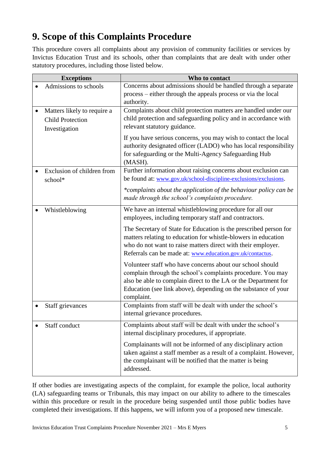# **9. Scope of this Complaints Procedure**

This procedure covers all complaints about any provision of community facilities or services by Invictus Education Trust and its schools, other than complaints that are dealt with under other statutory procedures, including those listed below.

| <b>Exceptions</b>                                                       | Who to contact                                                                                                                                                                                                                                                                                                                                                                                                                                                                                                                                                                       |  |  |
|-------------------------------------------------------------------------|--------------------------------------------------------------------------------------------------------------------------------------------------------------------------------------------------------------------------------------------------------------------------------------------------------------------------------------------------------------------------------------------------------------------------------------------------------------------------------------------------------------------------------------------------------------------------------------|--|--|
| Admissions to schools                                                   | Concerns about admissions should be handled through a separate<br>process – either through the appeals process or via the local<br>authority.                                                                                                                                                                                                                                                                                                                                                                                                                                        |  |  |
| Matters likely to require a<br><b>Child Protection</b><br>Investigation | Complaints about child protection matters are handled under our<br>child protection and safeguarding policy and in accordance with<br>relevant statutory guidance.<br>If you have serious concerns, you may wish to contact the local<br>authority designated officer (LADO) who has local responsibility<br>for safeguarding or the Multi-Agency Safeguarding Hub<br>(MASH).                                                                                                                                                                                                        |  |  |
| Exclusion of children from<br>school*                                   | Further information about raising concerns about exclusion can<br>be found at: www.gov.uk/school-discipline-exclusions/exclusions.<br>*complaints about the application of the behaviour policy can be<br>made through the school's complaints procedure.                                                                                                                                                                                                                                                                                                                            |  |  |
| Whistleblowing                                                          | We have an internal whistleblowing procedure for all our<br>employees, including temporary staff and contractors.<br>The Secretary of State for Education is the prescribed person for<br>matters relating to education for whistle-blowers in education<br>who do not want to raise matters direct with their employer.<br>Referrals can be made at: www.education.gov.uk/contactus.<br>Volunteer staff who have concerns about our school should<br>complain through the school's complaints procedure. You may<br>also be able to complain direct to the LA or the Department for |  |  |
| Staff grievances                                                        | Education (see link above), depending on the substance of your<br>complaint.<br>Complaints from staff will be dealt with under the school's                                                                                                                                                                                                                                                                                                                                                                                                                                          |  |  |
| Staff conduct                                                           | internal grievance procedures.<br>Complaints about staff will be dealt with under the school's<br>internal disciplinary procedures, if appropriate.<br>Complainants will not be informed of any disciplinary action<br>taken against a staff member as a result of a complaint. However,<br>the complainant will be notified that the matter is being<br>addressed.                                                                                                                                                                                                                  |  |  |

If other bodies are investigating aspects of the complaint, for example the police, local authority (LA) safeguarding teams or Tribunals, this may impact on our ability to adhere to the timescales within this procedure or result in the procedure being suspended until those public bodies have completed their investigations. If this happens, we will inform you of a proposed new timescale.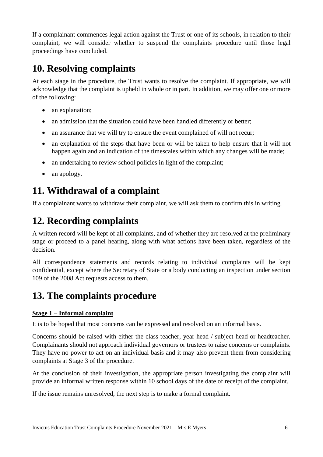If a complainant commences legal action against the Trust or one of its schools, in relation to their complaint, we will consider whether to suspend the complaints procedure until those legal proceedings have concluded.

## **10. Resolving complaints**

At each stage in the procedure, the Trust wants to resolve the complaint. If appropriate, we will acknowledge that the complaint is upheld in whole or in part. In addition, we may offer one or more of the following:

- an explanation;
- an admission that the situation could have been handled differently or better;
- an assurance that we will try to ensure the event complained of will not recur;
- an explanation of the steps that have been or will be taken to help ensure that it will not happen again and an indication of the timescales within which any changes will be made;
- an undertaking to review school policies in light of the complaint;
- an apology.

## **11. Withdrawal of a complaint**

If a complainant wants to withdraw their complaint, we will ask them to confirm this in writing.

## **12. Recording complaints**

A written record will be kept of all complaints, and of whether they are resolved at the preliminary stage or proceed to a panel hearing, along with what actions have been taken, regardless of the decision.

All correspondence statements and records relating to individual complaints will be kept confidential, except where the Secretary of State or a body conducting an inspection under section 109 of the 2008 Act requests access to them.

## **13. The complaints procedure**

#### **Stage 1 – Informal complaint**

It is to be hoped that most concerns can be expressed and resolved on an informal basis.

Concerns should be raised with either the class teacher, year head / subject head or headteacher. Complainants should not approach individual governors or trustees to raise concerns or complaints. They have no power to act on an individual basis and it may also prevent them from considering complaints at Stage 3 of the procedure.

At the conclusion of their investigation, the appropriate person investigating the complaint will provide an informal written response within 10 school days of the date of receipt of the complaint.

If the issue remains unresolved, the next step is to make a formal complaint.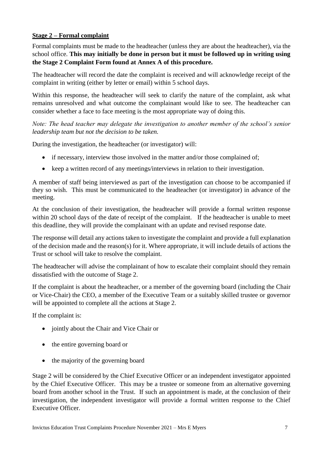#### **Stage 2 – Formal complaint**

Formal complaints must be made to the headteacher (unless they are about the headteacher), via the school office. **This may initially be done in person but it must be followed up in writing using the Stage 2 Complaint Form found at Annex A of this procedure.**

The headteacher will record the date the complaint is received and will acknowledge receipt of the complaint in writing (either by letter or email) within 5 school days.

Within this response, the headteacher will seek to clarify the nature of the complaint, ask what remains unresolved and what outcome the complainant would like to see. The headteacher can consider whether a face to face meeting is the most appropriate way of doing this.

*Note: The head teacher may delegate the investigation to another member of the school's senior leadership team but not the decision to be taken.*

During the investigation, the headteacher (or investigator) will:

- if necessary, interview those involved in the matter and/or those complained of;
- keep a written record of any meetings/interviews in relation to their investigation.

A member of staff being interviewed as part of the investigation can choose to be accompanied if they so wish. This must be communicated to the headteacher (or investigator) in advance of the meeting.

At the conclusion of their investigation, the headteacher will provide a formal written response within 20 school days of the date of receipt of the complaint. If the headteacher is unable to meet this deadline, they will provide the complainant with an update and revised response date.

The response will detail any actions taken to investigate the complaint and provide a full explanation of the decision made and the reason(s) for it. Where appropriate, it will include details of actions the Trust or school will take to resolve the complaint.

The headteacher will advise the complainant of how to escalate their complaint should they remain dissatisfied with the outcome of Stage 2.

If the complaint is about the headteacher, or a member of the governing board (including the Chair or Vice-Chair) the CEO, a member of the Executive Team or a suitably skilled trustee or governor will be appointed to complete all the actions at Stage 2.

If the complaint is:

- jointly about the Chair and Vice Chair or
- the entire governing board or
- the majority of the governing board

Stage 2 will be considered by the Chief Executive Officer or an independent investigator appointed by the Chief Executive Officer. This may be a trustee or someone from an alternative governing board from another school in the Trust. If such an appointment is made, at the conclusion of their investigation, the independent investigator will provide a formal written response to the Chief Executive Officer.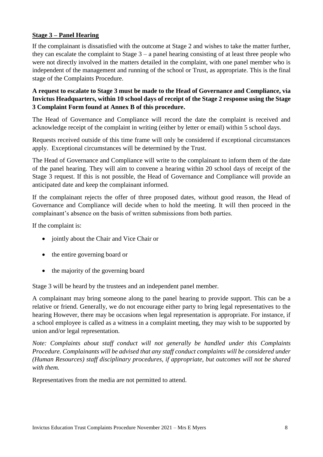#### **Stage 3 – Panel Hearing**

If the complainant is dissatisfied with the outcome at Stage 2 and wishes to take the matter further, they can escalate the complaint to Stage  $3 - a$  panel hearing consisting of at least three people who were not directly involved in the matters detailed in the complaint, with one panel member who is independent of the management and running of the school or Trust, as appropriate. This is the final stage of the Complaints Procedure.

**A request to escalate to Stage 3 must be made to the Head of Governance and Compliance, via Invictus Headquarters, within 10 school days of receipt of the Stage 2 response using the Stage 3 Complaint Form found at Annex B of this procedure.** 

The Head of Governance and Compliance will record the date the complaint is received and acknowledge receipt of the complaint in writing (either by letter or email) within 5 school days.

Requests received outside of this time frame will only be considered if exceptional circumstances apply. Exceptional circumstances will be determined by the Trust.

The Head of Governance and Compliance will write to the complainant to inform them of the date of the panel hearing. They will aim to convene a hearing within 20 school days of receipt of the Stage 3 request. If this is not possible, the Head of Governance and Compliance will provide an anticipated date and keep the complainant informed.

If the complainant rejects the offer of three proposed dates, without good reason, the Head of Governance and Compliance will decide when to hold the meeting. It will then proceed in the complainant's absence on the basis of written submissions from both parties.

If the complaint is:

- jointly about the Chair and Vice Chair or
- the entire governing board or
- the majority of the governing board

Stage 3 will be heard by the trustees and an independent panel member.

A complainant may bring someone along to the panel hearing to provide support. This can be a relative or friend. Generally, we do not encourage either party to bring legal representatives to the hearing However, there may be occasions when legal representation is appropriate. For instance, if a school employee is called as a witness in a complaint meeting, they may wish to be supported by union and/or legal representation.

*Note: Complaints about staff conduct will not generally be handled under this Complaints Procedure. Complainants will be advised that any staff conduct complaints will be considered under (Human Resources) staff disciplinary procedures, if appropriate, but outcomes will not be shared with them.* 

Representatives from the media are not permitted to attend.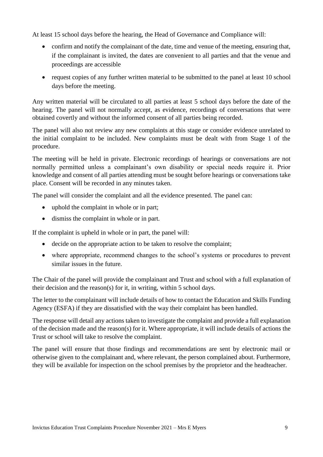At least 15 school days before the hearing, the Head of Governance and Compliance will:

- confirm and notify the complainant of the date, time and venue of the meeting, ensuring that, if the complainant is invited, the dates are convenient to all parties and that the venue and proceedings are accessible
- request copies of any further written material to be submitted to the panel at least 10 school days before the meeting.

Any written material will be circulated to all parties at least 5 school days before the date of the hearing. The panel will not normally accept, as evidence, recordings of conversations that were obtained covertly and without the informed consent of all parties being recorded.

The panel will also not review any new complaints at this stage or consider evidence unrelated to the initial complaint to be included. New complaints must be dealt with from Stage 1 of the procedure.

The meeting will be held in private. Electronic recordings of hearings or conversations are not normally permitted unless a complainant's own disability or special needs require it. Prior knowledge and consent of all parties attending must be sought before hearings or conversations take place. Consent will be recorded in any minutes taken.

The panel will consider the complaint and all the evidence presented. The panel can:

- uphold the complaint in whole or in part;
- dismiss the complaint in whole or in part.

If the complaint is upheld in whole or in part, the panel will:

- decide on the appropriate action to be taken to resolve the complaint;
- where appropriate, recommend changes to the school's systems or procedures to prevent similar issues in the future.

The Chair of the panel will provide the complainant and Trust and school with a full explanation of their decision and the reason(s) for it, in writing, within 5 school days.

The letter to the complainant will include details of how to contact the Education and Skills Funding Agency (ESFA) if they are dissatisfied with the way their complaint has been handled.

The response will detail any actions taken to investigate the complaint and provide a full explanation of the decision made and the reason(s) for it. Where appropriate, it will include details of actions the Trust or school will take to resolve the complaint.

The panel will ensure that those findings and recommendations are sent by electronic mail or otherwise given to the complainant and, where relevant, the person complained about. Furthermore, they will be available for inspection on the school premises by the proprietor and the headteacher.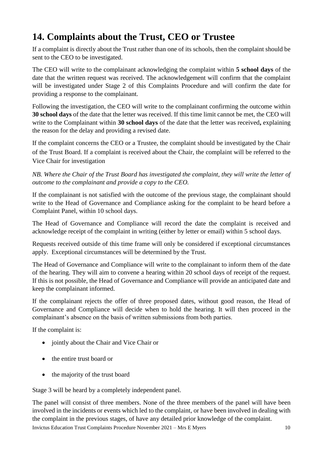## **14. Complaints about the Trust, CEO or Trustee**

If a complaint is directly about the Trust rather than one of its schools, then the complaint should be sent to the CEO to be investigated.

The CEO will write to the complainant acknowledging the complaint within **5 school days** of the date that the written request was received. The acknowledgement will confirm that the complaint will be investigated under Stage 2 of this Complaints Procedure and will confirm the date for providing a response to the complainant.

Following the investigation, the CEO will write to the complainant confirming the outcome within **30 school days** of the date that the letter was received. If this time limit cannot be met, the CEO will write to the Complainant within **30 school days** of the date that the letter was received**,** explaining the reason for the delay and providing a revised date.

If the complaint concerns the CEO or a Trustee, the complaint should be investigated by the Chair of the Trust Board. If a complaint is received about the Chair, the complaint will be referred to the Vice Chair for investigation

*NB. Where the Chair of the Trust Board has investigated the complaint, they will write the letter of outcome to the complainant and provide a copy to the CEO.* 

If the complainant is not satisfied with the outcome of the previous stage, the complainant should write to the Head of Governance and Compliance asking for the complaint to be heard before a Complaint Panel, within 10 school days.

The Head of Governance and Compliance will record the date the complaint is received and acknowledge receipt of the complaint in writing (either by letter or email) within 5 school days.

Requests received outside of this time frame will only be considered if exceptional circumstances apply. Exceptional circumstances will be determined by the Trust.

The Head of Governance and Compliance will write to the complainant to inform them of the date of the hearing. They will aim to convene a hearing within 20 school days of receipt of the request. If this is not possible, the Head of Governance and Compliance will provide an anticipated date and keep the complainant informed.

If the complainant rejects the offer of three proposed dates, without good reason, the Head of Governance and Compliance will decide when to hold the hearing. It will then proceed in the complainant's absence on the basis of written submissions from both parties.

If the complaint is:

- jointly about the Chair and Vice Chair or
- the entire trust board or
- the majority of the trust board

Stage 3 will be heard by a completely independent panel.

Invictus Education Trust Complaints Procedure November 2021 – Mrs E Myers 10 The panel will consist of three members. None of the three members of the panel will have been involved in the incidents or events which led to the complaint, or have been involved in dealing with the complaint in the previous stages, of have any detailed prior knowledge of the complaint.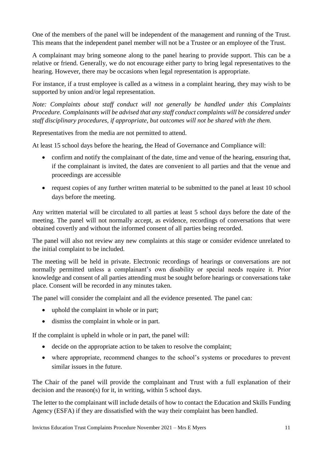One of the members of the panel will be independent of the management and running of the Trust. This means that the independent panel member will not be a Trustee or an employee of the Trust.

A complainant may bring someone along to the panel hearing to provide support. This can be a relative or friend. Generally, we do not encourage either party to bring legal representatives to the hearing. However, there may be occasions when legal representation is appropriate.

For instance, if a trust employee is called as a witness in a complaint hearing, they may wish to be supported by union and/or legal representation.

*Note: Complaints about staff conduct will not generally be handled under this Complaints Procedure. Complainants will be advised that any staff conduct complaints will be considered under staff disciplinary procedures, if appropriate, but outcomes will not be shared with the them.* 

Representatives from the media are not permitted to attend.

At least 15 school days before the hearing, the Head of Governance and Compliance will:

- confirm and notify the complainant of the date, time and venue of the hearing, ensuring that, if the complainant is invited, the dates are convenient to all parties and that the venue and proceedings are accessible
- request copies of any further written material to be submitted to the panel at least 10 school days before the meeting.

Any written material will be circulated to all parties at least 5 school days before the date of the meeting. The panel will not normally accept, as evidence, recordings of conversations that were obtained covertly and without the informed consent of all parties being recorded.

The panel will also not review any new complaints at this stage or consider evidence unrelated to the initial complaint to be included.

The meeting will be held in private. Electronic recordings of hearings or conversations are not normally permitted unless a complainant's own disability or special needs require it. Prior knowledge and consent of all parties attending must be sought before hearings or conversations take place. Consent will be recorded in any minutes taken.

The panel will consider the complaint and all the evidence presented. The panel can:

- uphold the complaint in whole or in part;
- dismiss the complaint in whole or in part.

If the complaint is upheld in whole or in part, the panel will:

- decide on the appropriate action to be taken to resolve the complaint;
- where appropriate, recommend changes to the school's systems or procedures to prevent similar issues in the future.

The Chair of the panel will provide the complainant and Trust with a full explanation of their decision and the reason(s) for it, in writing, within 5 school days.

The letter to the complainant will include details of how to contact the Education and Skills Funding Agency (ESFA) if they are dissatisfied with the way their complaint has been handled.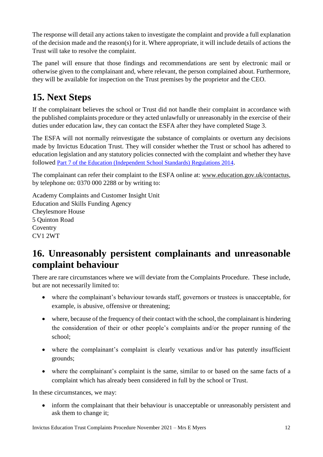The response will detail any actions taken to investigate the complaint and provide a full explanation of the decision made and the reason(s) for it. Where appropriate, it will include details of actions the Trust will take to resolve the complaint.

The panel will ensure that those findings and recommendations are sent by electronic mail or otherwise given to the complainant and, where relevant, the person complained about. Furthermore, they will be available for inspection on the Trust premises by the proprietor and the CEO.

# **15. Next Steps**

If the complainant believes the school or Trust did not handle their complaint in accordance with the published complaints procedure or they acted unlawfully or unreasonably in the exercise of their duties under education law, they can contact the ESFA after they have completed Stage 3.

The ESFA will not normally reinvestigate the substance of complaints or overturn any decisions made by Invictus Education Trust. They will consider whether the Trust or school has adhered to education legislation and any statutory policies connected with the complaint and whether they have followed [Part 7 of the Education \(Independent School Standards\) Regulations 2014](http://www.legislation.gov.uk/uksi/2010/1997/schedule/1/made).

The complainant can refer their complaint to the ESFA online at: [www.education.gov.uk/contactus,](http://www.education.gov.uk/contactus) by telephone on: 0370 000 2288 or by writing to:

Academy Complaints and Customer Insight Unit Education and Skills Funding Agency Cheylesmore House 5 Quinton Road **Coventry** CV1 2WT

#### **16. Unreasonably persistent complainants and unreasonable complaint behaviour**

There are rare circumstances where we will deviate from the Complaints Procedure. These include, but are not necessarily limited to:

- where the complainant's behaviour towards staff, governors or trustees is unacceptable, for example, is abusive, offensive or threatening;
- where, because of the frequency of their contact with the school, the complainant is hindering the consideration of their or other people's complaints and/or the proper running of the school;
- where the complainant's complaint is clearly vexatious and/or has patently insufficient grounds;
- where the complainant's complaint is the same, similar to or based on the same facts of a complaint which has already been considered in full by the school or Trust.

In these circumstances, we may:

• inform the complainant that their behaviour is unacceptable or unreasonably persistent and ask them to change it;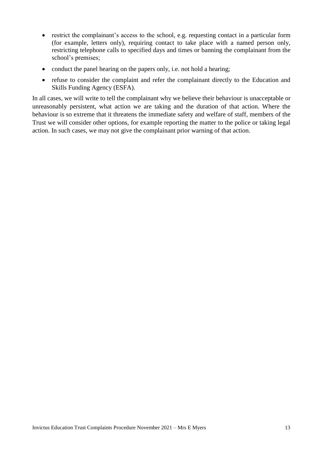- restrict the complainant's access to the school, e.g. requesting contact in a particular form (for example, letters only), requiring contact to take place with a named person only, restricting telephone calls to specified days and times or banning the complainant from the school's premises;
- conduct the panel hearing on the papers only, i.e. not hold a hearing;
- refuse to consider the complaint and refer the complainant directly to the Education and Skills Funding Agency (ESFA).

In all cases, we will write to tell the complainant why we believe their behaviour is unacceptable or unreasonably persistent, what action we are taking and the duration of that action. Where the behaviour is so extreme that it threatens the immediate safety and welfare of staff, members of the Trust we will consider other options, for example reporting the matter to the police or taking legal action. In such cases, we may not give the complainant prior warning of that action.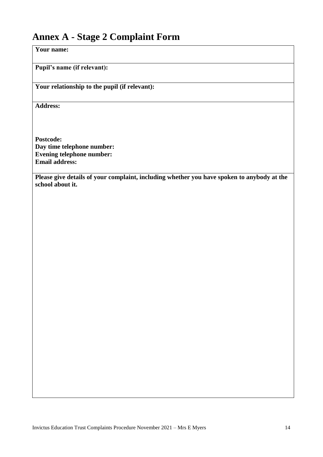#### **Annex A - Stage 2 Complaint Form**

**Your name:**

**Pupil's name (if relevant):**

**Your relationship to the pupil (if relevant):**

**Address:** 

**Postcode: Day time telephone number: Evening telephone number: Email address:**

**Please give details of your complaint, including whether you have spoken to anybody at the school about it.**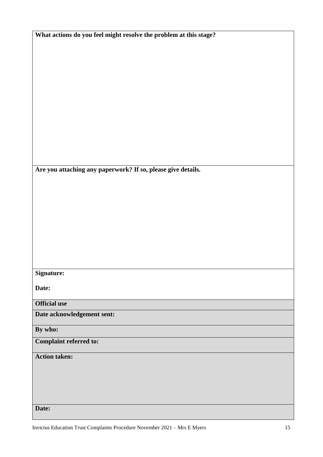| What actions do you feel might resolve the problem at this stage? |
|-------------------------------------------------------------------|
|-------------------------------------------------------------------|

**Are you attaching any paperwork? If so, please give details.**

**Signature:**

**Date:**

**Official use**

**Date acknowledgement sent:**

**By who:** 

**Complaint referred to:**

**Action taken:** 

**Date:**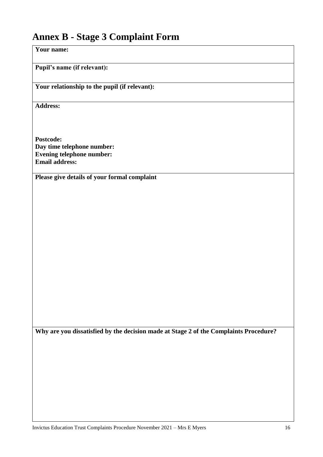# **Annex B - Stage 3 Complaint Form**

| Your name:                                                                            |
|---------------------------------------------------------------------------------------|
| Pupil's name (if relevant):                                                           |
| Your relationship to the pupil (if relevant):                                         |
| <b>Address:</b>                                                                       |
|                                                                                       |
| Postcode:                                                                             |
| Day time telephone number:                                                            |
| <b>Evening telephone number:</b>                                                      |
| <b>Email address:</b>                                                                 |
| Please give details of your formal complaint                                          |
|                                                                                       |
|                                                                                       |
|                                                                                       |
|                                                                                       |
|                                                                                       |
|                                                                                       |
|                                                                                       |
|                                                                                       |
|                                                                                       |
|                                                                                       |
|                                                                                       |
|                                                                                       |
|                                                                                       |
|                                                                                       |
|                                                                                       |
|                                                                                       |
| Why are you dissatisfied by the decision made at Stage 2 of the Complaints Procedure? |
|                                                                                       |
|                                                                                       |
|                                                                                       |